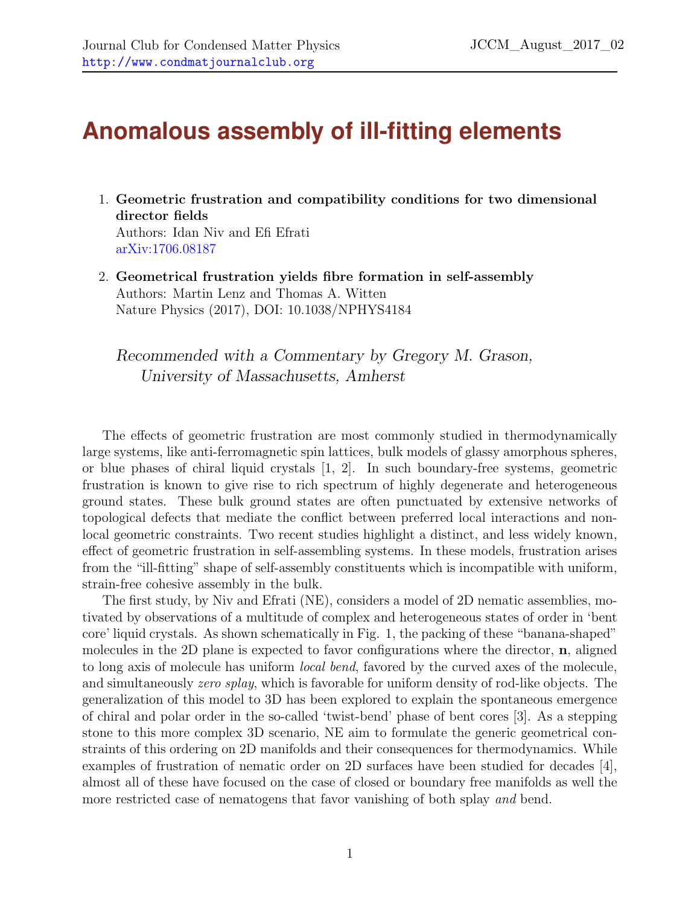## **Anomalous assembly of ill-fitting elements**

1. Geometric frustration and compatibility conditions for two dimensional director fields Authors: Idan Niv and Efi Efrati

[arXiv:1706.08187](http://arxiv.org)

2. Geometrical frustration yields fibre formation in self-assembly Authors: Martin Lenz and Thomas A. Witten Nature Physics (2017), DOI: 10.1038/NPHYS4184

Recommended with a Commentary by Gregory M. Grason, University of Massachusetts, Amherst

The effects of geometric frustration are most commonly studied in thermodynamically large systems, like anti-ferromagnetic spin lattices, bulk models of glassy amorphous spheres, or blue phases of chiral liquid crystals [\[1,](#page-3-0) [2\]](#page-3-1). In such boundary-free systems, geometric frustration is known to give rise to rich spectrum of highly degenerate and heterogeneous ground states. These bulk ground states are often punctuated by extensive networks of topological defects that mediate the conflict between preferred local interactions and nonlocal geometric constraints. Two recent studies highlight a distinct, and less widely known, effect of geometric frustration in self-assembling systems. In these models, frustration arises from the "ill-fitting" shape of self-assembly constituents which is incompatible with uniform, strain-free cohesive assembly in the bulk.

The first study, by Niv and Efrati (NE), considers a model of 2D nematic assemblies, motivated by observations of a multitude of complex and heterogeneous states of order in 'bent core' liquid crystals. As shown schematically in Fig. 1, the packing of these "banana-shaped" molecules in the 2D plane is expected to favor configurations where the director, n, aligned to long axis of molecule has uniform *local bend*, favored by the curved axes of the molecule, and simultaneously *zero splay*, which is favorable for uniform density of rod-like objects. The generalization of this model to 3D has been explored to explain the spontaneous emergence of chiral and polar order in the so-called 'twist-bend' phase of bent cores [\[3\]](#page-3-2). As a stepping stone to this more complex 3D scenario, NE aim to formulate the generic geometrical constraints of this ordering on 2D manifolds and their consequences for thermodynamics. While examples of frustration of nematic order on 2D surfaces have been studied for decades [\[4\]](#page-3-3), almost all of these have focused on the case of closed or boundary free manifolds as well the more restricted case of nematogens that favor vanishing of both splay *and* bend.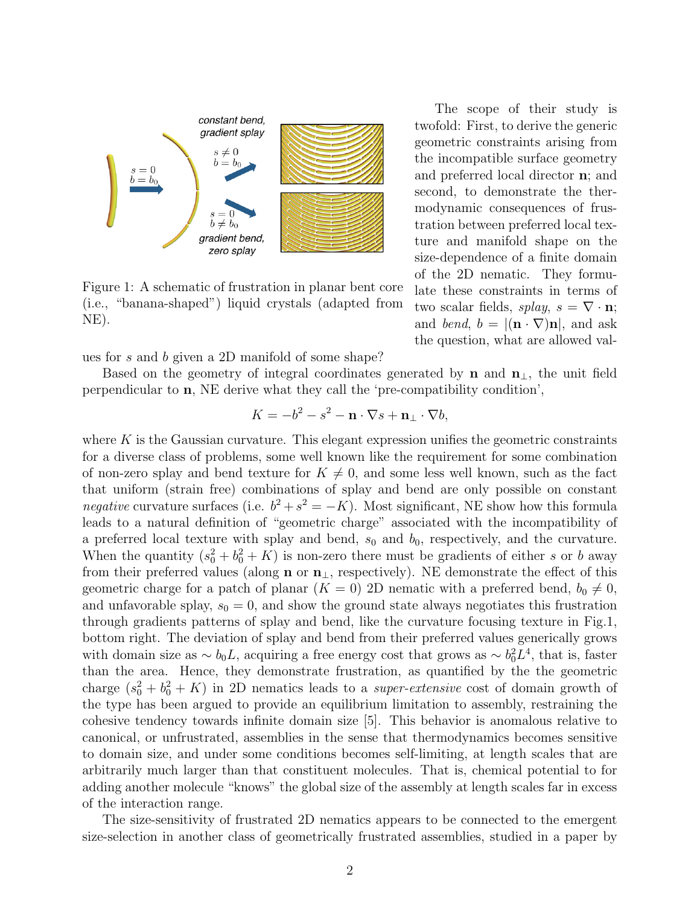

Figure 1: A schematic of frustration in planar bent core (i.e., "banana-shaped") liquid crystals (adapted from NE).

ues for s and b given a 2D manifold of some shape?

Based on the geometry of integral coordinates generated by **n** and  $n_{\perp}$ , the unit field perpendicular to n, NE derive what they call the 'pre-compatibility condition',

$$
K = -b^2 - s^2 - \mathbf{n} \cdot \nabla s + \mathbf{n}_{\perp} \cdot \nabla b,
$$

where  $K$  is the Gaussian curvature. This elegant expression unifies the geometric constraints for a diverse class of problems, some well known like the requirement for some combination of non-zero splay and bend texture for  $K \neq 0$ , and some less well known, such as the fact that uniform (strain free) combinations of splay and bend are only possible on constant *negative* curvature surfaces (i.e.  $b^2 + s^2 = -K$ ). Most significant, NE show how this formula leads to a natural definition of "geometric charge" associated with the incompatibility of a preferred local texture with splay and bend,  $s_0$  and  $b_0$ , respectively, and the curvature. When the quantity  $(s_0^2 + b_0^2 + K)$  is non-zero there must be gradients of either s or b away from their preferred values (along **n** or  $\mathbf{n}_{\perp}$ , respectively). NE demonstrate the effect of this geometric charge for a patch of planar  $(K = 0)$  2D nematic with a preferred bend,  $b_0 \neq 0$ , and unfavorable splay,  $s_0 = 0$ , and show the ground state always negotiates this frustration through gradients patterns of splay and bend, like the curvature focusing texture in Fig.1, bottom right. The deviation of splay and bend from their preferred values generically grows with domain size as  $\sim b_0 L$ , acquiring a free energy cost that grows as  $\sim b_0^2 L^4$ , that is, faster than the area. Hence, they demonstrate frustration, as quantified by the the geometric charge  $(s_0^2 + b_0^2 + K)$  in 2D nematics leads to a *super-extensive* cost of domain growth of the type has been argued to provide an equilibrium limitation to assembly, restraining the cohesive tendency towards infinite domain size [\[5\]](#page-3-4). This behavior is anomalous relative to canonical, or unfrustrated, assemblies in the sense that thermodynamics becomes sensitive to domain size, and under some conditions becomes self-limiting, at length scales that are arbitrarily much larger than that constituent molecules. That is, chemical potential to for adding another molecule "knows" the global size of the assembly at length scales far in excess of the interaction range.

The size-sensitivity of frustrated 2D nematics appears to be connected to the emergent size-selection in another class of geometrically frustrated assemblies, studied in a paper by

The scope of their study is twofold: First, to derive the generic geometric constraints arising from the incompatible surface geometry and preferred local director n; and second, to demonstrate the thermodynamic consequences of frustration between preferred local texture and manifold shape on the size-dependence of a finite domain of the 2D nematic. They formulate these constraints in terms of two scalar fields, splay,  $s = \nabla \cdot \mathbf{n}$ ; and bend,  $b = |(\mathbf{n} \cdot \nabla) \mathbf{n}|$ , and ask the question, what are allowed val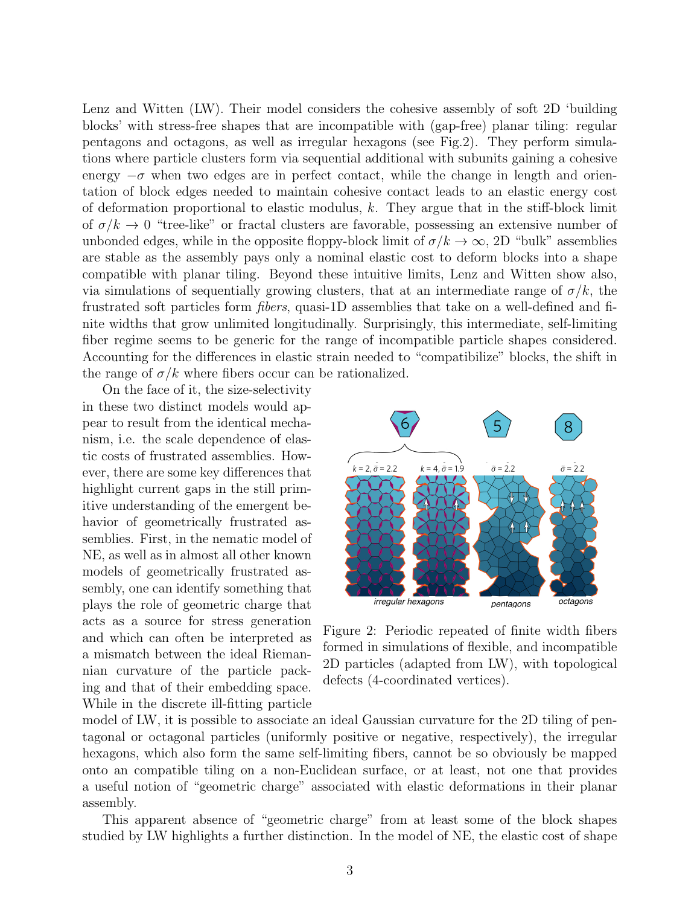Lenz and Witten (LW). Their model considers the cohesive assembly of soft 2D 'building blocks' with stress-free shapes that are incompatible with (gap-free) planar tiling: regular pentagons and octagons, as well as irregular hexagons (see Fig.2). They perform simulations where particle clusters form via sequential additional with subunits gaining a cohesive energy  $-\sigma$  when two edges are in perfect contact, while the change in length and orientation of block edges needed to maintain cohesive contact leads to an elastic energy cost of deformation proportional to elastic modulus,  $k$ . They argue that in the stiff-block limit of  $\sigma/k \to 0$  "tree-like" or fractal clusters are favorable, possessing an extensive number of unbonded edges, while in the opposite floppy-block limit of  $\sigma/k \to \infty$ , 2D "bulk" assemblies are stable as the assembly pays only a nominal elastic cost to deform blocks into a shape compatible with planar tiling. Beyond these intuitive limits, Lenz and Witten show also, via simulations of sequentially growing clusters, that at an intermediate range of  $\sigma/k$ , the frustrated soft particles form fibers, quasi-1D assemblies that take on a well-defined and finite widths that grow unlimited longitudinally. Surprisingly, this intermediate, self-limiting fiber regime seems to be generic for the range of incompatible particle shapes considered. Accounting for the differences in elastic strain needed to "compatibilize" blocks, the shift in the range of  $\sigma/k$  where fibers occur can be rationalized.

On the face of it, the size-selectivity in these two distinct models would appear to result from the identical mechanism, i.e. the scale dependence of elastic costs of frustrated assemblies. However, there are some key differences that highlight current gaps in the still primitive understanding of the emergent behavior of geometrically frustrated assemblies. First, in the nematic model of NE, as well as in almost all other known models of geometrically frustrated assembly, one can identify something that plays the role of geometric charge that acts as a source for stress generation and which can often be interpreted as a mismatch between the ideal Riemannian curvature of the particle packing and that of their embedding space. While in the discrete ill-fitting particle



Figure 2: Periodic repeated of finite width fibers formed in simulations of flexible, and incompatible 2D particles (adapted from LW), with topological defects (4-coordinated vertices).

model of LW, it is possible to associate an ideal Gaussian curvature for the 2D tiling of pentagonal or octagonal particles (uniformly positive or negative, respectively), the irregular hexagons, which also form the same self-limiting fibers, cannot be so obviously be mapped onto an compatible tiling on a non-Euclidean surface, or at least, not one that provides a useful notion of "geometric charge" associated with elastic deformations in their planar assembly.

This apparent absence of "geometric charge" from at least some of the block shapes studied by LW highlights a further distinction. In the model of NE, the elastic cost of shape